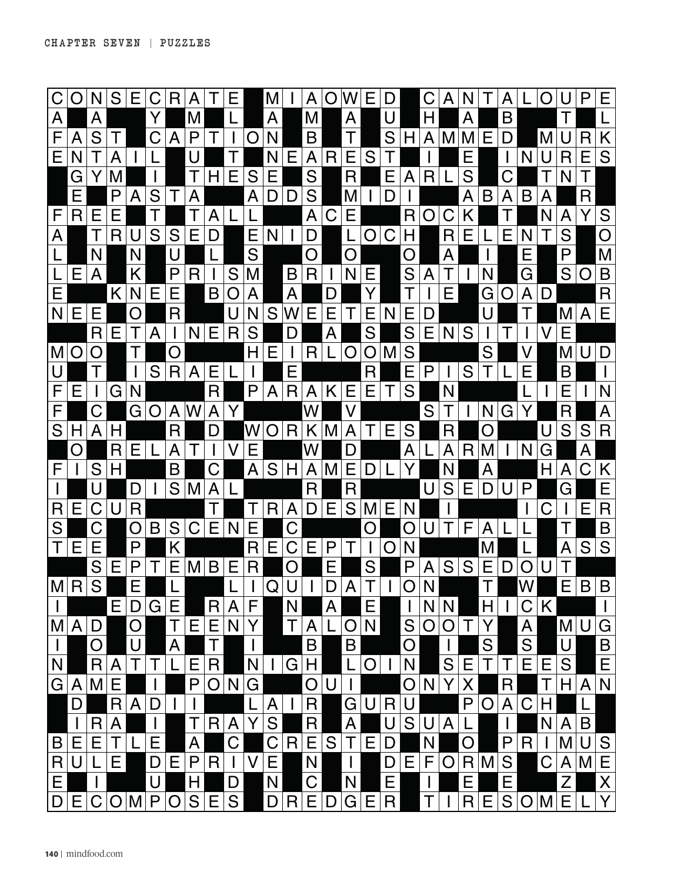